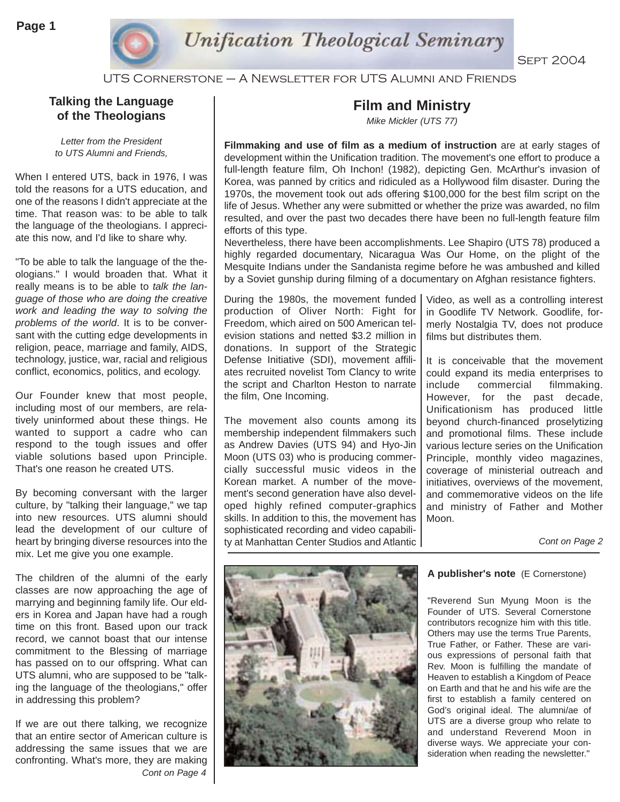

UTS Cornerstone – A Newsletter for UTS Alumni and Friends

### **Talking the Language of the Theologians**

*Letter from the President to UTS Alumni and Friends,* 

When I entered UTS, back in 1976, I was told the reasons for a UTS education, and one of the reasons I didn't appreciate at the time. That reason was: to be able to talk the language of the theologians. I appreciate this now, and I'd like to share why.

"To be able to talk the language of the theologians." I would broaden that. What it really means is to be able to *talk the language of those who are doing the creative work and leading the way to solving the problems of the world*. It is to be conversant with the cutting edge developments in religion, peace, marriage and family, AIDS, technology, justice, war, racial and religious conflict, economics, politics, and ecology.

Our Founder knew that most people, including most of our members, are relatively uninformed about these things. He wanted to support a cadre who can respond to the tough issues and offer viable solutions based upon Principle. That's one reason he created UTS.

By becoming conversant with the larger culture, by "talking their language," we tap into new resources. UTS alumni should lead the development of our culture of heart by bringing diverse resources into the mix. Let me give you one example.

The children of the alumni of the early classes are now approaching the age of marrying and beginning family life. Our elders in Korea and Japan have had a rough time on this front. Based upon our track record, we cannot boast that our intense commitment to the Blessing of marriage has passed on to our offspring. What can UTS alumni, who are supposed to be "talking the language of the theologians," offer in addressing this problem?

If we are out there talking, we recognize that an entire sector of American culture is addressing the same issues that we are confronting. What's more, they are making *Cont on Page 4*

## **Film and Ministry**

*Mike Mickler (UTS 77)*

**Filmmaking and use of film as a medium of instruction** are at early stages of development within the Unification tradition. The movement's one effort to produce a full-length feature film, Oh Inchon! (1982), depicting Gen. McArthur's invasion of Korea, was panned by critics and ridiculed as a Hollywood film disaster. During the 1970s, the movement took out ads offering \$100,000 for the best film script on the life of Jesus. Whether any were submitted or whether the prize was awarded, no film resulted, and over the past two decades there have been no full-length feature film efforts of this type.

Nevertheless, there have been accomplishments. Lee Shapiro (UTS 78) produced a highly regarded documentary, Nicaragua Was Our Home, on the plight of the Mesquite Indians under the Sandanista regime before he was ambushed and killed by a Soviet gunship during filming of a documentary on Afghan resistance fighters.

During the 1980s, the movement funded production of Oliver North: Fight for Freedom, which aired on 500 American television stations and netted \$3.2 million in donations. In support of the Strategic Defense Initiative (SDI), movement affiliates recruited novelist Tom Clancy to write the script and Charlton Heston to narrate the film, One Incoming.

The movement also counts among its membership independent filmmakers such as Andrew Davies (UTS 94) and Hyo-Jin Moon (UTS 03) who is producing commercially successful music videos in the Korean market. A number of the movement's second generation have also developed highly refined computer-graphics skills. In addition to this, the movement has sophisticated recording and video capability at Manhattan Center Studios and Atlantic

Video, as well as a controlling interest in Goodlife TV Network. Goodlife, formerly Nostalgia TV, does not produce films but distributes them.

It is conceivable that the movement could expand its media enterprises to include commercial filmmaking. However, for the past decade, Unificationism has produced little beyond church-financed proselytizing and promotional films. These include various lecture series on the Unification Principle, monthly video magazines, coverage of ministerial outreach and initiatives, overviews of the movement, and commemorative videos on the life and ministry of Father and Mother Moon.

*Cont on Page 2*



#### **A publisher's note** (E Cornerstone)

"Reverend Sun Myung Moon is the Founder of UTS. Several Cornerstone contributors recognize him with this title. Others may use the terms True Parents, True Father, or Father. These are various expressions of personal faith that Rev. Moon is fulfilling the mandate of Heaven to establish a Kingdom of Peace on Earth and that he and his wife are the first to establish a family centered on God's original ideal. The alumni/ae of UTS are a diverse group who relate to and understand Reverend Moon in diverse ways. We appreciate your consideration when reading the newsletter."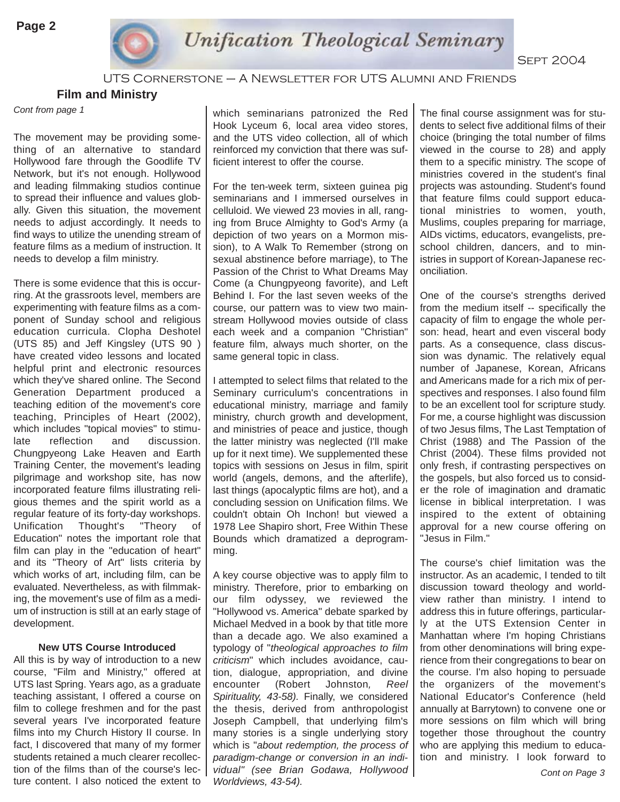

UTS Cornerstone – A Newsletter for UTS Alumni and Friends

**Film and Ministry** 

*Cont from page 1*

The movement may be providing something of an alternative to standard Hollywood fare through the Goodlife TV Network, but it's not enough. Hollywood and leading filmmaking studios continue to spread their influence and values globally. Given this situation, the movement needs to adjust accordingly. It needs to find ways to utilize the unending stream of feature films as a medium of instruction. It needs to develop a film ministry.

There is some evidence that this is occurring. At the grassroots level, members are experimenting with feature films as a component of Sunday school and religious education curricula. Clopha Deshotel (UTS 85) and Jeff Kingsley (UTS 90 ) have created video lessons and located helpful print and electronic resources which they've shared online. The Second Generation Department produced a teaching edition of the movement's core teaching, Principles of Heart (2002), which includes "topical movies" to stimulate reflection and discussion. Chungpyeong Lake Heaven and Earth Training Center, the movement's leading pilgrimage and workshop site, has now incorporated feature films illustrating religious themes and the spirit world as a regular feature of its forty-day workshops. Unification Thought's "Theory of Education" notes the important role that film can play in the "education of heart" and its "Theory of Art" lists criteria by which works of art, including film, can be evaluated. Nevertheless, as with filmmaking, the movement's use of film as a medium of instruction is still at an early stage of development.

#### **New UTS Course Introduced**

All this is by way of introduction to a new course, "Film and Ministry," offered at UTS last Spring. Years ago, as a graduate teaching assistant, I offered a course on film to college freshmen and for the past several years I've incorporated feature films into my Church History II course. In fact, I discovered that many of my former students retained a much clearer recollection of the films than of the course's lecture content. I also noticed the extent to

which seminarians patronized the Red Hook Lyceum 6, local area video stores, and the UTS video collection, all of which reinforced my conviction that there was sufficient interest to offer the course.

For the ten-week term, sixteen guinea pig seminarians and I immersed ourselves in celluloid. We viewed 23 movies in all, ranging from Bruce Almighty to God's Army (a depiction of two years on a Mormon mission), to A Walk To Remember (strong on sexual abstinence before marriage), to The Passion of the Christ to What Dreams May Come (a Chungpyeong favorite), and Left Behind I. For the last seven weeks of the course, our pattern was to view two mainstream Hollywood movies outside of class each week and a companion "Christian" feature film, always much shorter, on the same general topic in class.

I attempted to select films that related to the Seminary curriculum's concentrations in educational ministry, marriage and family ministry, church growth and development, and ministries of peace and justice, though the latter ministry was neglected (I'll make up for it next time). We supplemented these topics with sessions on Jesus in film, spirit world (angels, demons, and the afterlife), last things (apocalyptic films are hot), and a concluding session on Unification films. We couldn't obtain Oh Inchon! but viewed a 1978 Lee Shapiro short, Free Within These Bounds which dramatized a deprogramming.

A key course objective was to apply film to ministry. Therefore, prior to embarking on our film odyssey, we reviewed the "Hollywood vs. America" debate sparked by Michael Medved in a book by that title more than a decade ago. We also examined a typology of "*theological approaches to film criticism*" which includes avoidance, caution, dialogue, appropriation, and divine encounter (Robert Johnston*, Reel Spirituality, 43-58).* Finally, we considered the thesis, derived from anthropologist Joseph Campbell, that underlying film's many stories is a single underlying story which is "*about redemption, the process of paradigm-change or conversion in an individual" (see Brian Godawa, Hollywood Worldviews, 43-54).* 

The final course assignment was for students to select five additional films of their choice (bringing the total number of films viewed in the course to 28) and apply them to a specific ministry. The scope of ministries covered in the student's final projects was astounding. Student's found that feature films could support educational ministries to women, youth, Muslims, couples preparing for marriage, AIDs victims, educators, evangelists, preschool children, dancers, and to ministries in support of Korean-Japanese reconciliation.

One of the course's strengths derived from the medium itself -- specifically the capacity of film to engage the whole person: head, heart and even visceral body parts. As a consequence, class discussion was dynamic. The relatively equal number of Japanese, Korean, Africans and Americans made for a rich mix of perspectives and responses. I also found film to be an excellent tool for scripture study. For me, a course highlight was discussion of two Jesus films, The Last Temptation of Christ (1988) and The Passion of the Christ (2004). These films provided not only fresh, if contrasting perspectives on the gospels, but also forced us to consider the role of imagination and dramatic license in biblical interpretation. I was inspired to the extent of obtaining approval for a new course offering on "Jesus in Film."

The course's chief limitation was the instructor. As an academic, I tended to tilt discussion toward theology and worldview rather than ministry. I intend to address this in future offerings, particularly at the UTS Extension Center in Manhattan where I'm hoping Christians from other denominations will bring experience from their congregations to bear on the course. I'm also hoping to persuade the organizers of the movement's National Educator's Conference (held annually at Barrytown) to convene one or more sessions on film which will bring together those throughout the country who are applying this medium to education and ministry. I look forward to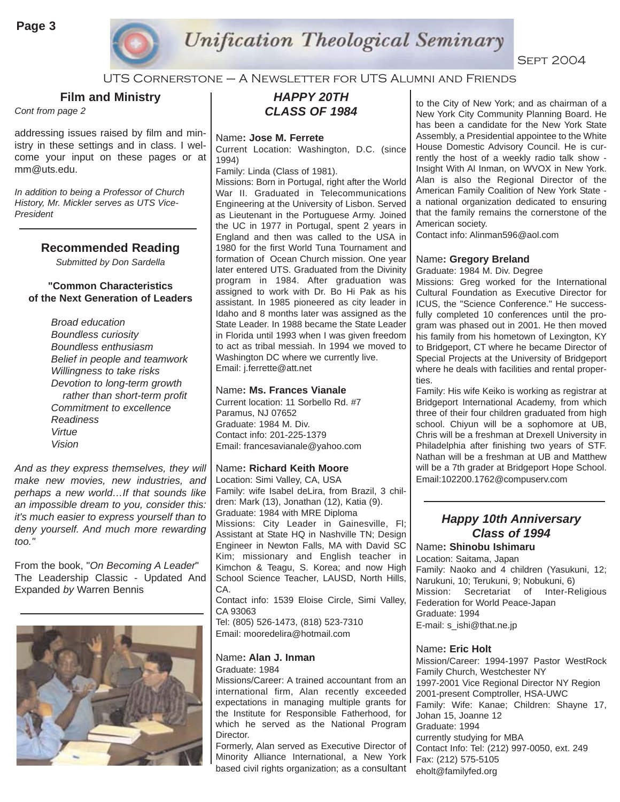

UTS Cornerstone – A Newsletter for UTS Alumni and Friends

**Film and Ministry** 

*Cont from page 2*

addressing issues raised by film and ministry in these settings and in class. I welcome your input on these pages or at mm@uts.edu.

*In addition to being a Professor of Church History, Mr. Mickler serves as UTS Vice-President*

#### **Recommended Reading**

*Submitted by Don Sardella*

#### **"Common Characteristics of the Next Generation of Leaders**

*Broad education Boundless curiosity Boundless enthusiasm Belief in people and teamwork Willingness to take risks Devotion to long-term growth rather than short-term profit Commitment to excellence Readiness Virtue Vision*

*And as they express themselves, they will make new movies, new industries, and perhaps a new world…If that sounds like an impossible dream to you, consider this: it's much easier to express yourself than to deny yourself. And much more rewarding too."*

From the book, "*On Becoming A Leader*" The Leadership Classic - Updated And Expanded *by* Warren Bennis



## *HAPPY 20TH CLASS OF 1984*

#### Name**: Jose M. Ferrete**

Current Location: Washington, D.C. (since 1994)

Family: Linda (Class of 1981).

Missions: Born in Portugal, right after the World War II. Graduated in Telecommunications Engineering at the University of Lisbon. Served as Lieutenant in the Portuguese Army. Joined the UC in 1977 in Portugal, spent 2 years in England and then was called to the USA in 1980 for the first World Tuna Tournament and formation of Ocean Church mission. One year later entered UTS. Graduated from the Divinity program in 1984. After graduation was assigned to work with Dr. Bo Hi Pak as his assistant. In 1985 pioneered as city leader in Idaho and 8 months later was assigned as the State Leader. In 1988 became the State Leader in Florida until 1993 when I was given freedom to act as tribal messiah. In 1994 we moved to Washington DC where we currently live. Email: j.ferrette@att.net

#### Name**: Ms. Frances Vianale**

Current location: 11 Sorbello Rd. #7 Paramus, NJ 07652 Graduate: 1984 M. Div. Contact info: 201-225-1379 Email: francesavianale@yahoo.com

#### Name**: Richard Keith Moore**

Location: Simi Valley, CA, USA Family: wife Isabel deLira, from Brazil, 3 children: Mark (13), Jonathan (12), Katia (9). Graduate: 1984 with MRE Diploma Missions: City Leader in Gainesville, Fl; Assistant at State HQ in Nashville TN; Design Engineer in Newton Falls, MA with David SC Kim; missionary and English teacher in Kimchon & Teagu, S. Korea; and now High School Science Teacher, LAUSD, North Hills, CA. Contact info: 1539 Eloise Circle, Simi Valley,

CA 93063 Tel: (805) 526-1473, (818) 523-7310 Email: mooredelira@hotmail.com

## Name**: Alan J. Inman**

Graduate: 1984

Missions/Career: A trained accountant from an international firm, Alan recently exceeded expectations in managing multiple grants for the Institute for Responsible Fatherhood, for which he served as the National Program Director.

Formerly, Alan served as Executive Director of Minority Alliance International, a New York based civil rights organization; as a consultant

to the City of New York; and as chairman of a New York City Community Planning Board. He has been a candidate for the New York State Assembly, a Presidential appointee to the White House Domestic Advisory Council. He is currently the host of a weekly radio talk show - Insight With Al Inman, on WVOX in New York. Alan is also the Regional Director of the American Family Coalition of New York State a national organization dedicated to ensuring that the family remains the cornerstone of the American society.

Contact info: Alinman596@aol.com

#### Name**: Gregory Breland**

Graduate: 1984 M. Div. Degree

Missions: Greg worked for the International Cultural Foundation as Executive Director for ICUS, the "Science Conference." He successfully completed 10 conferences until the program was phased out in 2001. He then moved his family from his hometown of Lexington, KY to Bridgeport, CT where he became Director of Special Projects at the University of Bridgeport where he deals with facilities and rental properties.

Family: His wife Keiko is working as registrar at Bridgeport International Academy, from which three of their four children graduated from high school. Chiyun will be a sophomore at UB, Chris will be a freshman at Drexell University in Philadelphia after finishing two years of STF. Nathan will be a freshman at UB and Matthew will be a 7th grader at Bridgeport Hope School. Email:102200.1762@compuserv.com

#### *Happy 10th Anniversary Class of 1994*

#### Name**: Shinobu Ishimaru**

Location: Saitama, Japan Family: Naoko and 4 children (Yasukuni, 12; Narukuni, 10; Terukuni, 9; Nobukuni, 6) Mission: Secretariat of Inter-Religious Federation for World Peace-Japan Graduate: 1994 E-mail: s\_ishi@that.ne.jp

#### Name**: Eric Holt**

Mission/Career: 1994-1997 Pastor WestRock Family Church, Westchester NY 1997-2001 Vice Regional Director NY Region 2001-present Comptroller, HSA-UWC Family: Wife: Kanae; Children: Shayne 17, Johan 15, Joanne 12 Graduate: 1994 currently studying for MBA Contact Info: Tel: (212) 997-0050, ext. 249 Fax: (212) 575-5105 eholt@familyfed.org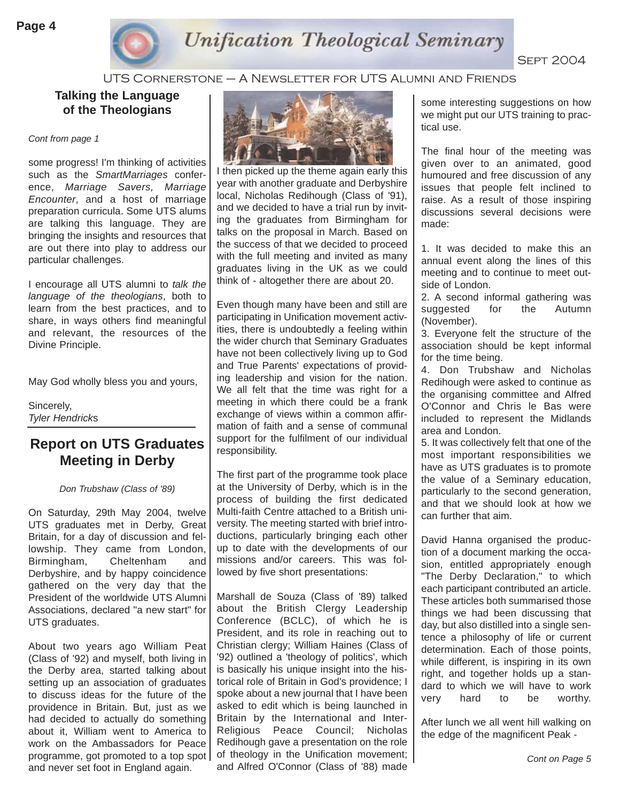

#### UTS Cornerstone – A Newsletter for UTS Alumni and Friends

**Talking the Language of the Theologians**

*Cont from page 1*

some progress! I'm thinking of activities such as the *SmartMarriages* conference, *Marriage Savers, Marriage Encounter*, and a host of marriage preparation curricula. Some UTS alums are talking this language. They are bringing the insights and resources that are out there into play to address our particular challenges.

I encourage all UTS alumni to *talk the language of the theologians*, both to learn from the best practices, and to share, in ways others find meaningful and relevant, the resources of the Divine Principle.

May God wholly bless you and yours,

Sincerely, *Tyler Hendrick*s

## **Report on UTS Graduates Meeting in Derby**

*Don Trubshaw (Class of '89)*

On Saturday, 29th May 2004, twelve UTS graduates met in Derby, Great Britain, for a day of discussion and fellowship. They came from London, Birmingham, Cheltenham and Derbyshire, and by happy coincidence gathered on the very day that the President of the worldwide UTS Alumni Associations, declared "a new start" for UTS graduates.

About two years ago William Peat (Class of '92) and myself, both living in the Derby area, started talking about setting up an association of graduates to discuss ideas for the future of the providence in Britain. But, just as we had decided to actually do something about it, William went to America to work on the Ambassadors for Peace programme, got promoted to a top spot and never set foot in England again.



I then picked up the theme again early this year with another graduate and Derbyshire local, Nicholas Redihough (Class of '91), and we decided to have a trial run by inviting the graduates from Birmingham for talks on the proposal in March. Based on the success of that we decided to proceed with the full meeting and invited as many graduates living in the UK as we could think of - altogether there are about 20.

Even though many have been and still are participating in Unification movement activities, there is undoubtedly a feeling within the wider church that Seminary Graduates have not been collectively living up to God and True Parents' expectations of providing leadership and vision for the nation. We all felt that the time was right for a meeting in which there could be a frank exchange of views within a common affirmation of faith and a sense of communal support for the fulfilment of our individual responsibility.

The first part of the programme took place at the University of Derby, which is in the process of building the first dedicated Multi-faith Centre attached to a British university. The meeting started with brief introductions, particularly bringing each other up to date with the developments of our missions and/or careers. This was followed by five short presentations:

Marshall de Souza (Class of '89) talked about the British Clergy Leadership Conference (BCLC), of which he is President, and its role in reaching out to Christian clergy; William Haines (Class of '92) outlined a 'theology of politics', which is basically his unique insight into the historical role of Britain in God's providence; I spoke about a new journal that I have been asked to edit which is being launched in Britain by the International and Inter-Religious Peace Council; Nicholas Redihough gave a presentation on the role of theology in the Unification movement; and Alfred O'Connor (Class of '88) made

some interesting suggestions on how we might put our UTS training to practical use.

The final hour of the meeting was given over to an animated, good humoured and free discussion of any issues that people felt inclined to raise. As a result of those inspiring discussions several decisions were made:

1. It was decided to make this an annual event along the lines of this meeting and to continue to meet outside of London.

2. A second informal gathering was suggested for the Autumn (November).

3. Everyone felt the structure of the association should be kept informal for the time being.

4. Don Trubshaw and Nicholas Redihough were asked to continue as the organising committee and Alfred O'Connor and Chris le Bas were included to represent the Midlands area and London.

5. It was collectively felt that one of the most important responsibilities we have as UTS graduates is to promote the value of a Seminary education, particularly to the second generation, and that we should look at how we can further that aim.

David Hanna organised the production of a document marking the occasion, entitled appropriately enough "The Derby Declaration," to which each participant contributed an article. These articles both summarised those things we had been discussing that day, but also distilled into a single sentence a philosophy of life or current determination. Each of those points, while different, is inspiring in its own right, and together holds up a standard to which we will have to work very hard to be worthy.

After lunch we all went hill walking on the edge of the magnificent Peak -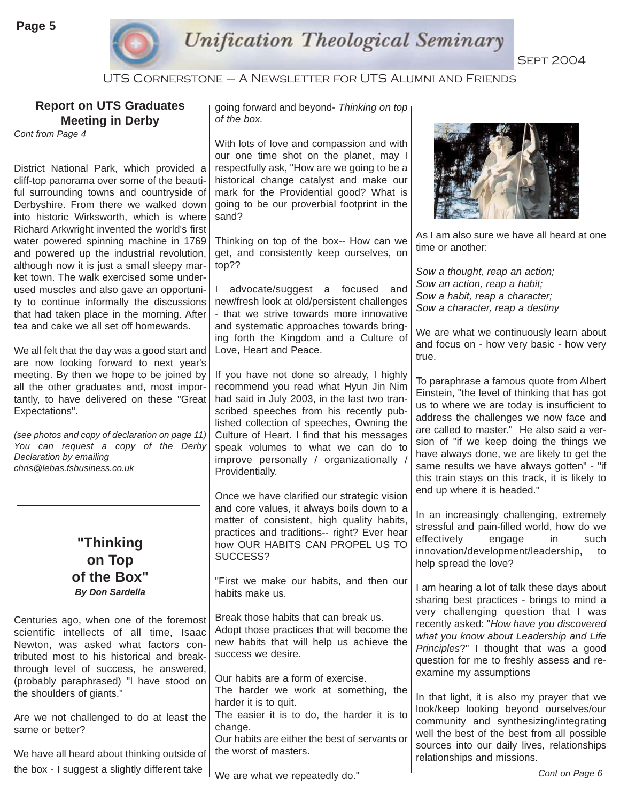

UTS Cornerstone – A Newsletter for UTS Alumni and Friends

## **Report on UTS Graduates Meeting in Derby**

*Cont from Page 4*

District National Park, which provided a cliff-top panorama over some of the beautiful surrounding towns and countryside of Derbyshire. From there we walked down into historic Wirksworth, which is where Richard Arkwright invented the world's first water powered spinning machine in 1769 and powered up the industrial revolution, although now it is just a small sleepy market town. The walk exercised some underused muscles and also gave an opportunity to continue informally the discussions that had taken place in the morning. After tea and cake we all set off homewards.

We all felt that the day was a good start and are now looking forward to next year's meeting. By then we hope to be joined by all the other graduates and, most importantly, to have delivered on these "Great Expectations".

*(see photos and copy of declaration on page 11) You can request a copy of the Derby Declaration by emailing chris@lebas.fsbusiness.co.uk*

## **"Thinking on Top of the Box"**  *By Don Sardella*

Centuries ago, when one of the foremost scientific intellects of all time, Isaac Newton, was asked what factors contributed most to his historical and breakthrough level of success, he answered, (probably paraphrased) "I have stood on the shoulders of giants."

Are we not challenged to do at least the same or better?

We have all heard about thinking outside of the box - I suggest a slightly different take

going forward and beyond- *Thinking on top of the box.*

With lots of love and compassion and with our one time shot on the planet, may I respectfully ask, "How are we going to be a historical change catalyst and make our mark for the Providential good? What is going to be our proverbial footprint in the sand?

Thinking on top of the box-- How can we get, and consistently keep ourselves, on top??

I advocate/suggest a focused and new/fresh look at old/persistent challenges - that we strive towards more innovative and systematic approaches towards bringing forth the Kingdom and a Culture of Love, Heart and Peace.

If you have not done so already, I highly recommend you read what Hyun Jin Nim had said in July 2003, in the last two transcribed speeches from his recently published collection of speeches, Owning the Culture of Heart. I find that his messages speak volumes to what we can do to improve personally / organizationally / Providentially.

Once we have clarified our strategic vision and core values, it always boils down to a matter of consistent, high quality habits, practices and traditions-- right? Ever hear how OUR HABITS CAN PROPEL US TO SUCCESS?

"First we make our habits, and then our habits make us.

Break those habits that can break us. Adopt those practices that will become the new habits that will help us achieve the success we desire.

Our habits are a form of exercise.

The harder we work at something, the harder it is to quit.

The easier it is to do, the harder it is to change.

Our habits are either the best of servants or the worst of masters.



As I am also sure we have all heard at one time or another:

*Sow a thought, reap an action; Sow an action, reap a habit; Sow a habit, reap a character; Sow a character, reap a destiny* 

We are what we continuously learn about and focus on - how very basic - how very true.

To paraphrase a famous quote from Albert Einstein, "the level of thinking that has got us to where we are today is insufficient to address the challenges we now face and are called to master." He also said a version of "if we keep doing the things we have always done, we are likely to get the same results we have always gotten" - "if this train stays on this track, it is likely to end up where it is headed."

In an increasingly challenging, extremely stressful and pain-filled world, how do we effectively engage in such innovation/development/leadership, to help spread the love?

I am hearing a lot of talk these days about sharing best practices - brings to mind a very challenging question that I was recently asked: "*How have you discovered what you know about Leadership and Life Principles*?" I thought that was a good question for me to freshly assess and reexamine my assumptions

In that light, it is also my prayer that we look/keep looking beyond ourselves/our community and synthesizing/integrating well the best of the best from all possible sources into our daily lives, relationships relationships and missions.

We are what we repeatedly do."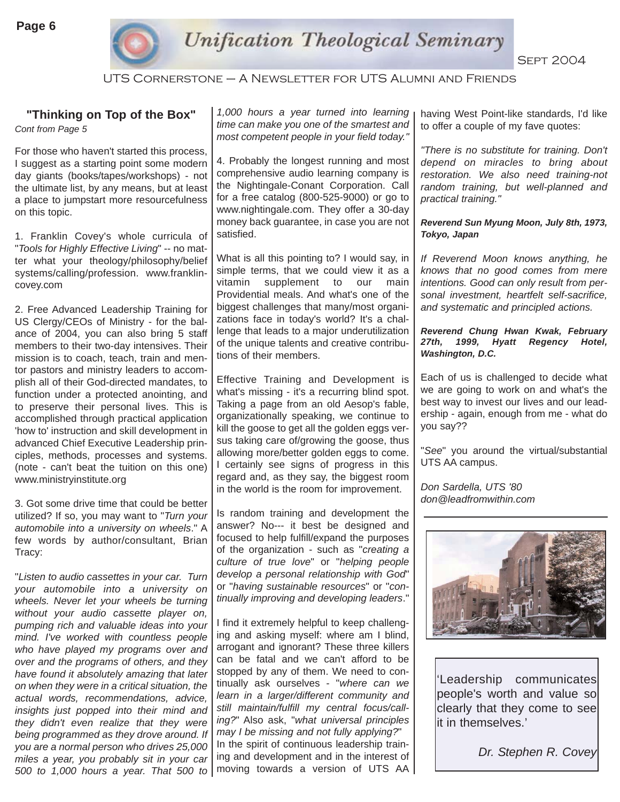

UTS Cornerstone – A Newsletter for UTS Alumni and Friends

#### **"Thinking on Top of the Box"**

*Cont from Page 5*

For those who haven't started this process, I suggest as a starting point some modern day giants (books/tapes/workshops) - not the ultimate list, by any means, but at least a place to jumpstart more resourcefulness on this topic.

1. Franklin Covey's whole curricula of "*Tools for Highly Effective Living*" -- no matter what your theology/philosophy/belief systems/calling/profession. www.franklincovey.com

2. Free Advanced Leadership Training for US Clergy/CEOs of Ministry - for the balance of 2004, you can also bring 5 staff members to their two-day intensives. Their mission is to coach, teach, train and mentor pastors and ministry leaders to accomplish all of their God-directed mandates, to function under a protected anointing, and to preserve their personal lives. This is accomplished through practical application 'how to' instruction and skill development in advanced Chief Executive Leadership principles, methods, processes and systems. (note - can't beat the tuition on this one) www.ministryinstitute.org

3. Got some drive time that could be better utilized? If so, you may want to "*Turn your automobile into a university on wheels*." A few words by author/consultant, Brian Tracy:

"*Listen to audio cassettes in your car. Turn your automobile into a university on wheels. Never let your wheels be turning without your audio cassette player on, pumping rich and valuable ideas into your mind. I've worked with countless people who have played my programs over and over and the programs of others, and they have found it absolutely amazing that later on when they were in a critical situation, the actual words, recommendations, advice, insights just popped into their mind and they didn't even realize that they were being programmed as they drove around. If you are a normal person who drives 25,000 miles a year, you probably sit in your car 500 to 1,000 hours a year. That 500 to*

*1,000 hours a year turned into learning time can make you one of the smartest and most competent people in your field today."*

4. Probably the longest running and most comprehensive audio learning company is the Nightingale-Conant Corporation. Call for a free catalog (800-525-9000) or go to www.nightingale.com. They offer a 30-day money back guarantee, in case you are not satisfied.

What is all this pointing to? I would say, in simple terms, that we could view it as a vitamin supplement to our main Providential meals. And what's one of the biggest challenges that many/most organizations face in today's world? It's a challenge that leads to a major underutilization of the unique talents and creative contributions of their members.

Effective Training and Development is what's missing - it's a recurring blind spot. Taking a page from an old Aesop's fable, organizationally speaking, we continue to kill the goose to get all the golden eggs versus taking care of/growing the goose, thus allowing more/better golden eggs to come. I certainly see signs of progress in this regard and, as they say, the biggest room in the world is the room for improvement.

Is random training and development the answer? No--- it best be designed and focused to help fulfill/expand the purposes of the organization - such as "*creating a culture of true love*" or "*helping people develop a personal relationship with God*" or "*having sustainable resources*" or "*continually improving and developing leaders*."

I find it extremely helpful to keep challenging and asking myself: where am I blind, arrogant and ignorant? These three killers can be fatal and we can't afford to be stopped by any of them. We need to continually ask ourselves - "*where can we learn in a larger/different community and still maintain/fulfill my central focus/calling?*" Also ask, "*what universal principles may I be missing and not fully applying?*" In the spirit of continuous leadership training and development and in the interest of moving towards a version of UTS AA having West Point-like standards, I'd like to offer a couple of my fave quotes:

*"There is no substitute for training. Don't depend on miracles to bring about restoration. We also need training-not random training, but well-planned and practical training."* 

*Reverend Sun Myung Moon, July 8th, 1973, Tokyo, Japan* 

*If Reverend Moon knows anything, he knows that no good comes from mere intentions. Good can only result from personal investment, heartfelt self-sacrifice, and systematic and principled actions.* 

#### *Reverend Chung Hwan Kwak, February 27th, 1999, Hyatt Regency Hotel, Washington, D.C.*

Each of us is challenged to decide what we are going to work on and what's the best way to invest our lives and our leadership - again, enough from me - what do you say??

"*See*" you around the virtual/substantial UTS AA campus.

*Don Sardella, UTS '80 don@leadfromwithin.com*



'Leadership communicates people's worth and value so clearly that they come to see it in themselves.'

*Dr. Stephen R. Covey*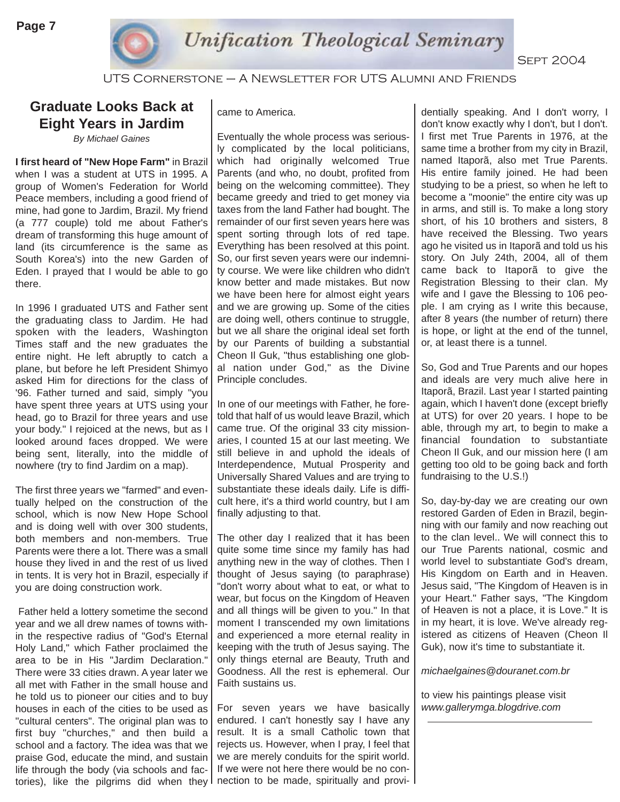

UTS Cornerstone – A Newsletter for UTS Alumni and Friends

## **Graduate Looks Back at Eight Years in Jardim**

*By Michael Gaines*

**I first heard of "New Hope Farm"** in Brazil when I was a student at UTS in 1995. A group of Women's Federation for World Peace members, including a good friend of mine, had gone to Jardim, Brazil. My friend (a 777 couple) told me about Father's dream of transforming this huge amount of land (its circumference is the same as South Korea's) into the new Garden of Eden. I prayed that I would be able to go there.

In 1996 I graduated UTS and Father sent the graduating class to Jardim. He had spoken with the leaders, Washington Times staff and the new graduates the entire night. He left abruptly to catch a plane, but before he left President Shimyo asked Him for directions for the class of '96. Father turned and said, simply "you have spent three years at UTS using your head, go to Brazil for three years and use your body." I rejoiced at the news, but as I looked around faces dropped. We were being sent, literally, into the middle of nowhere (try to find Jardim on a map).

The first three years we "farmed" and eventually helped on the construction of the school, which is now New Hope School and is doing well with over 300 students, both members and non-members. True Parents were there a lot. There was a small house they lived in and the rest of us lived in tents. It is very hot in Brazil, especially if you are doing construction work.

Father held a lottery sometime the second year and we all drew names of towns within the respective radius of "God's Eternal Holy Land," which Father proclaimed the area to be in His "Jardim Declaration." There were 33 cities drawn. A year later we all met with Father in the small house and he told us to pioneer our cities and to buy houses in each of the cities to be used as "cultural centers". The original plan was to first buy "churches," and then build a school and a factory. The idea was that we praise God, educate the mind, and sustain life through the body (via schools and factories), like the pilgrims did when they nection to be made, spiritually and provi-

#### came to America.

Eventually the whole process was seriously complicated by the local politicians, which had originally welcomed True Parents (and who, no doubt, profited from being on the welcoming committee). They became greedy and tried to get money via taxes from the land Father had bought. The remainder of our first seven years here was spent sorting through lots of red tape. Everything has been resolved at this point. So, our first seven years were our indemnity course. We were like children who didn't know better and made mistakes. But now we have been here for almost eight years and we are growing up. Some of the cities are doing well, others continue to struggle, but we all share the original ideal set forth by our Parents of building a substantial Cheon Il Guk, "thus establishing one global nation under God," as the Divine Principle concludes.

In one of our meetings with Father, he foretold that half of us would leave Brazil, which came true. Of the original 33 city missionaries, I counted 15 at our last meeting. We still believe in and uphold the ideals of Interdependence, Mutual Prosperity and Universally Shared Values and are trying to substantiate these ideals daily. Life is difficult here, it's a third world country, but I am finally adjusting to that.

The other day I realized that it has been quite some time since my family has had anything new in the way of clothes. Then I thought of Jesus saying (to paraphrase) "don't worry about what to eat, or what to wear, but focus on the Kingdom of Heaven and all things will be given to you." In that moment I transcended my own limitations and experienced a more eternal reality in keeping with the truth of Jesus saying. The only things eternal are Beauty, Truth and Goodness. All the rest is ephemeral. Our Faith sustains us.

For seven years we have basically endured. I can't honestly say I have any result. It is a small Catholic town that rejects us. However, when I pray, I feel that we are merely conduits for the spirit world. If we were not here there would be no con-

dentially speaking. And I don't worry, I don't know exactly why I don't, but I don't. I first met True Parents in 1976, at the same time a brother from my city in Brazil, named Itaporã, also met True Parents. His entire family joined. He had been studying to be a priest, so when he left to become a "moonie" the entire city was up in arms, and still is. To make a long story short, of his 10 brothers and sisters, 8 have received the Blessing. Two years ago he visited us in Itaporã and told us his story. On July 24th, 2004, all of them came back to Itaporã to give the Registration Blessing to their clan. My wife and I gave the Blessing to 106 people. I am crying as I write this because, after 8 years (the number of return) there is hope, or light at the end of the tunnel, or, at least there is a tunnel.

So, God and True Parents and our hopes and ideals are very much alive here in Itaporã, Brazil. Last year I started painting again, which I haven't done (except briefly at UTS) for over 20 years. I hope to be able, through my art, to begin to make a financial foundation to substantiate Cheon Il Guk, and our mission here (I am getting too old to be going back and forth fundraising to the U.S.!)

So, day-by-day we are creating our own restored Garden of Eden in Brazil, beginning with our family and now reaching out to the clan level.. We will connect this to our True Parents national, cosmic and world level to substantiate God's dream, His Kingdom on Earth and in Heaven. Jesus said, "The Kingdom of Heaven is in your Heart." Father says, "The Kingdom of Heaven is not a place, it is Love." It is in my heart, it is love. We've already registered as citizens of Heaven (Cheon Il Guk), now it's time to substantiate it.

*michaelgaines@douranet.com.br*

to view his paintings please visit *www.gallerymga.blogdrive.com*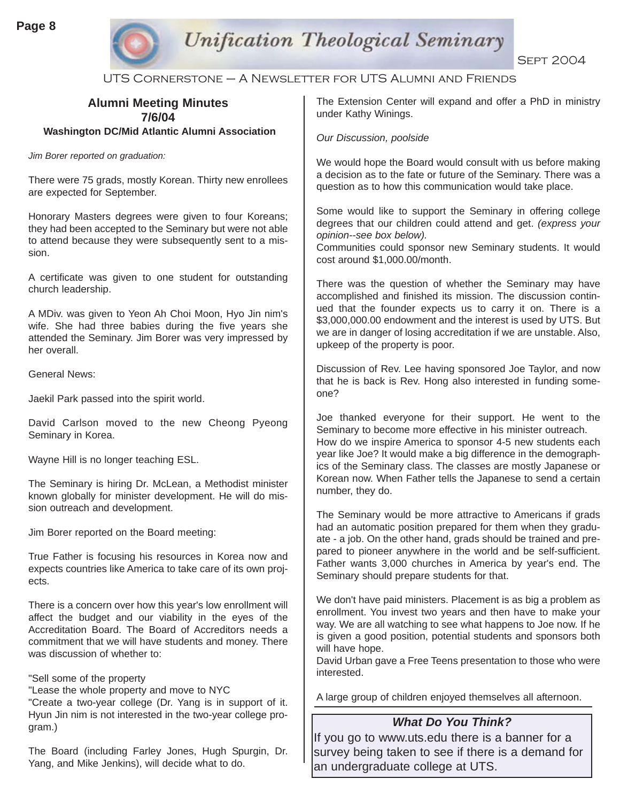

## **Unification Theological Seminary**

**SEPT 2004** 

UTS Cornerstone – A Newsletter for UTS Alumni and Friends

| <b>Alumni Meeting Minutes</b><br>7/6/04                                                                                                                                                                                                                                   | The Extension Center will expand and offer a PhD in ministry<br>under Kathy Winings.                                                                                                                                                                                                                                                                                                                        |
|---------------------------------------------------------------------------------------------------------------------------------------------------------------------------------------------------------------------------------------------------------------------------|-------------------------------------------------------------------------------------------------------------------------------------------------------------------------------------------------------------------------------------------------------------------------------------------------------------------------------------------------------------------------------------------------------------|
| <b>Washington DC/Mid Atlantic Alumni Association</b>                                                                                                                                                                                                                      | Our Discussion, poolside                                                                                                                                                                                                                                                                                                                                                                                    |
| Jim Borer reported on graduation:                                                                                                                                                                                                                                         | We would hope the Board would consult with us before making<br>a decision as to the fate or future of the Seminary. There was a<br>question as to how this communication would take place.                                                                                                                                                                                                                  |
| There were 75 grads, mostly Korean. Thirty new enrollees<br>are expected for September.                                                                                                                                                                                   |                                                                                                                                                                                                                                                                                                                                                                                                             |
| Honorary Masters degrees were given to four Koreans;<br>they had been accepted to the Seminary but were not able<br>to attend because they were subsequently sent to a mis-<br>sion.                                                                                      | Some would like to support the Seminary in offering college<br>degrees that our children could attend and get. (express your<br>opinion--see box below).<br>Communities could sponsor new Seminary students. It would<br>cost around \$1,000.00/month.                                                                                                                                                      |
| A certificate was given to one student for outstanding<br>church leadership.                                                                                                                                                                                              | There was the question of whether the Seminary may have<br>accomplished and finished its mission. The discussion contin-<br>ued that the founder expects us to carry it on. There is a<br>\$3,000,000.00 endowment and the interest is used by UTS. But<br>we are in danger of losing accreditation if we are unstable. Also,<br>upkeep of the property is poor.                                            |
| A MDiv. was given to Yeon Ah Choi Moon, Hyo Jin nim's<br>wife. She had three babies during the five years she<br>attended the Seminary. Jim Borer was very impressed by<br>her overall.                                                                                   |                                                                                                                                                                                                                                                                                                                                                                                                             |
| <b>General News:</b>                                                                                                                                                                                                                                                      | Discussion of Rev. Lee having sponsored Joe Taylor, and now<br>that he is back is Rev. Hong also interested in funding some-<br>one?                                                                                                                                                                                                                                                                        |
| Jaekil Park passed into the spirit world.                                                                                                                                                                                                                                 |                                                                                                                                                                                                                                                                                                                                                                                                             |
| David Carlson moved to the new Cheong Pyeong<br>Seminary in Korea.                                                                                                                                                                                                        | Joe thanked everyone for their support. He went to the<br>Seminary to become more effective in his minister outreach.<br>How do we inspire America to sponsor 4-5 new students each<br>year like Joe? It would make a big difference in the demograph-<br>ics of the Seminary class. The classes are mostly Japanese or<br>Korean now. When Father tells the Japanese to send a certain<br>number, they do. |
| Wayne Hill is no longer teaching ESL.                                                                                                                                                                                                                                     |                                                                                                                                                                                                                                                                                                                                                                                                             |
| The Seminary is hiring Dr. McLean, a Methodist minister<br>known globally for minister development. He will do mis-                                                                                                                                                       |                                                                                                                                                                                                                                                                                                                                                                                                             |
| sion outreach and development.                                                                                                                                                                                                                                            | The Seminary would be more attractive to Americans if grads                                                                                                                                                                                                                                                                                                                                                 |
| Jim Borer reported on the Board meeting:                                                                                                                                                                                                                                  | had an automatic position prepared for them when they gradu-<br>ate - a job. On the other hand, grads should be trained and pre-                                                                                                                                                                                                                                                                            |
| True Father is focusing his resources in Korea now and<br>expects countries like America to take care of its own proj-<br>ects.                                                                                                                                           | pared to pioneer anywhere in the world and be self-sufficient.<br>Father wants 3,000 churches in America by year's end. The<br>Seminary should prepare students for that.                                                                                                                                                                                                                                   |
| There is a concern over how this year's low enrollment will<br>affect the budget and our viability in the eyes of the<br>Accreditation Board. The Board of Accreditors needs a<br>commitment that we will have students and money. There<br>was discussion of whether to: | We don't have paid ministers. Placement is as big a problem as<br>enrollment. You invest two years and then have to make your<br>way. We are all watching to see what happens to Joe now. If he<br>is given a good position, potential students and sponsors both<br>will have hope.<br>David Urban gave a Free Teens presentation to those who were                                                        |
| "Sell some of the property<br>"Lease the whole property and move to NYC<br>"Create a two year collage (Dr. Vang is in support of it                                                                                                                                       | interested.<br>A large group of children enjoyed themselves all afternoon.                                                                                                                                                                                                                                                                                                                                  |
|                                                                                                                                                                                                                                                                           |                                                                                                                                                                                                                                                                                                                                                                                                             |

"Create a two-year college (Dr. Yang is in support of it. Hyun Jin nim is not interested in the two-year college program.)

The Board (including Farley Jones, Hugh Spurgin, Dr. Yang, and Mike Jenkins), will decide what to do.

If you go to www.uts.edu there is a banner for a survey being taken to see if there is a demand for an undergraduate college at UTS.

*What Do You Think?*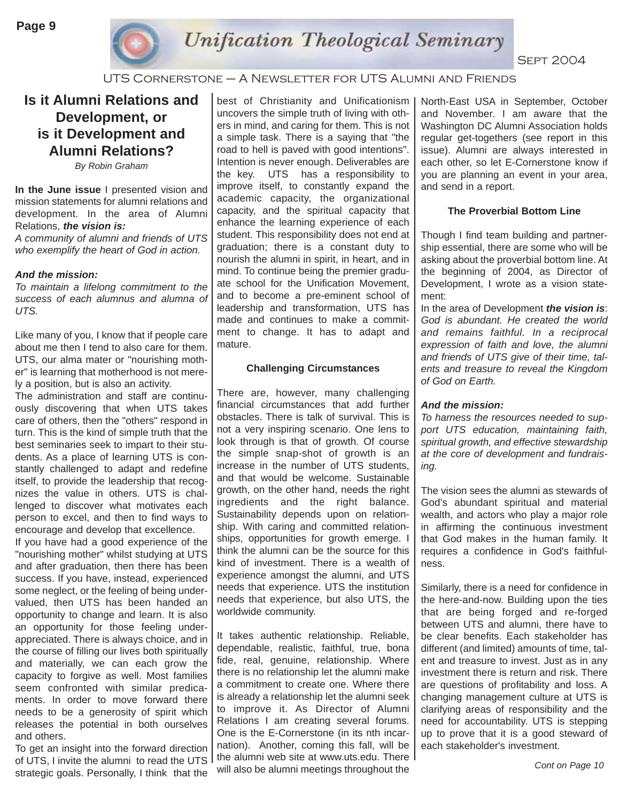

#### UTS Cornerstone – A Newsletter for UTS Alumni and Friends

## **Is it Alumni Relations and Development, or is it Development and Alumni Relations?**

*By Robin Graham*

**In the June issue** I presented vision and mission statements for alumni relations and development. In the area of Alumni Relations, *the vision is:* 

*A community of alumni and friends of UTS who exemplify the heart of God in action.* 

#### *And the mission:*

*To maintain a lifelong commitment to the success of each alumnus and alumna of UTS.*

Like many of you, I know that if people care about me then I tend to also care for them. UTS, our alma mater or "nourishing mother" is learning that motherhood is not merely a position, but is also an activity.

The administration and staff are continuously discovering that when UTS takes care of others, then the "others" respond in turn. This is the kind of simple truth that the best seminaries seek to impart to their students. As a place of learning UTS is constantly challenged to adapt and redefine itself, to provide the leadership that recognizes the value in others. UTS is challenged to discover what motivates each person to excel, and then to find ways to encourage and develop that excellence.

If you have had a good experience of the "nourishing mother" whilst studying at UTS and after graduation, then there has been success. If you have, instead, experienced some neglect, or the feeling of being undervalued, then UTS has been handed an opportunity to change and learn. It is also an opportunity for those feeling underappreciated. There is always choice, and in the course of filling our lives both spiritually and materially, we can each grow the capacity to forgive as well. Most families seem confronted with similar predicaments. In order to move forward there needs to be a generosity of spirit which releases the potential in both ourselves and others.

To get an insight into the forward direction of UTS, I invite the alumni to read the UTS strategic goals. Personally, I think that the best of Christianity and Unificationism uncovers the simple truth of living with others in mind, and caring for them. This is not a simple task. There is a saying that "the road to hell is paved with good intentions". Intention is never enough. Deliverables are the key. UTS has a responsibility to improve itself, to constantly expand the academic capacity, the organizational capacity, and the spiritual capacity that enhance the learning experience of each student. This responsibility does not end at graduation; there is a constant duty to nourish the alumni in spirit, in heart, and in mind. To continue being the premier graduate school for the Unification Movement, and to become a pre-eminent school of leadership and transformation, UTS has made and continues to make a commitment to change. It has to adapt and mature.

#### **Challenging Circumstances**

There are, however, many challenging financial circumstances that add further obstacles. There is talk of survival. This is not a very inspiring scenario. One lens to look through is that of growth. Of course the simple snap-shot of growth is an increase in the number of UTS students, and that would be welcome. Sustainable growth, on the other hand, needs the right ingredients and the right balance. Sustainability depends upon on relationship. With caring and committed relationships, opportunities for growth emerge. I think the alumni can be the source for this kind of investment. There is a wealth of experience amongst the alumni, and UTS needs that experience. UTS the institution needs that experience, but also UTS, the worldwide community.

It takes authentic relationship. Reliable, dependable, realistic, faithful, true, bona fide, real, genuine, relationship. Where there is no relationship let the alumni make a commitment to create one. Where there is already a relationship let the alumni seek to improve it. As Director of Alumni Relations I am creating several forums. One is the E-Cornerstone (in its nth incarnation). Another, coming this fall, will be the alumni web site at www.uts.edu. There will also be alumni meetings throughout the **Cont on Page 10** Cont on Page 10

North-East USA in September, October and November. I am aware that the Washington DC Alumni Association holds regular get-togethers (see report in this issue). Alumni are always interested in each other, so let E-Cornerstone know if you are planning an event in your area, and send in a report.

#### **The Proverbial Bottom Line**

Though I find team building and partnership essential, there are some who will be asking about the proverbial bottom line. At the beginning of 2004, as Director of Development, I wrote as a vision statement:

In the area of Development *the vision is*: *God is abundant. He created the world and remains faithful. In a reciprocal expression of faith and love, the alumni and friends of UTS give of their time, talents and treasure to reveal the Kingdom of God on Earth.*

#### *And the mission:*

*To harness the resources needed to support UTS education, maintaining faith, spiritual growth, and effective stewardship at the core of development and fundraising.*

The vision sees the alumni as stewards of God's abundant spiritual and material wealth, and actors who play a major role in affirming the continuous investment that God makes in the human family. It requires a confidence in God's faithfulness.

Similarly, there is a need for confidence in the here-and-now. Building upon the ties that are being forged and re-forged between UTS and alumni, there have to be clear benefits. Each stakeholder has different (and limited) amounts of time, talent and treasure to invest. Just as in any investment there is return and risk. There are questions of profitability and loss. A changing management culture at UTS is clarifying areas of responsibility and the need for accountability. UTS is stepping up to prove that it is a good steward of each stakeholder's investment.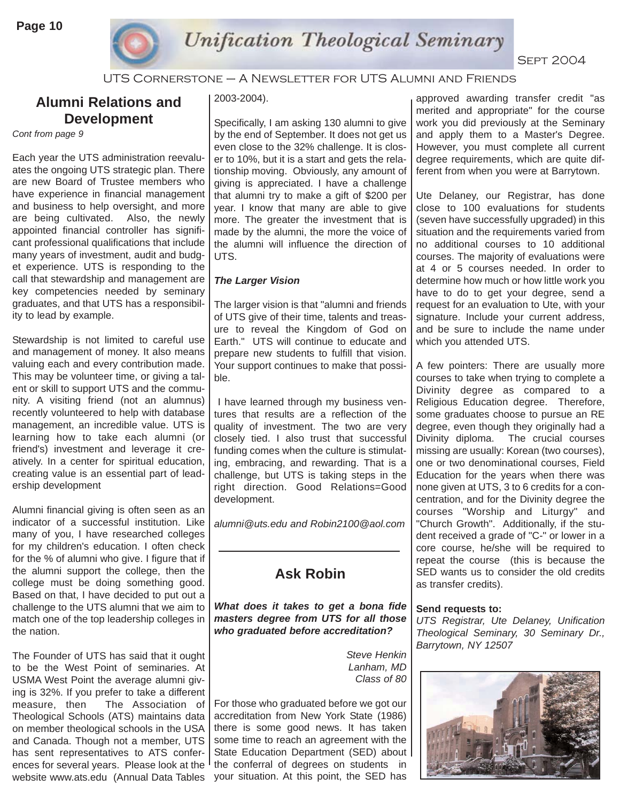

UTS Cornerstone – A Newsletter for UTS Alumni and Friends

## **Alumni Relations and Development**

*Cont from page 9*

Each year the UTS administration reevaluates the ongoing UTS strategic plan. There are new Board of Trustee members who have experience in financial management and business to help oversight, and more are being cultivated. Also, the newly appointed financial controller has significant professional qualifications that include many years of investment, audit and budget experience. UTS is responding to the call that stewardship and management are key competencies needed by seminary graduates, and that UTS has a responsibility to lead by example.

Stewardship is not limited to careful use and management of money. It also means valuing each and every contribution made. This may be volunteer time, or giving a talent or skill to support UTS and the community. A visiting friend (not an alumnus) recently volunteered to help with database management, an incredible value. UTS is learning how to take each alumni (or friend's) investment and leverage it creatively. In a center for spiritual education, creating value is an essential part of leadership development

Alumni financial giving is often seen as an indicator of a successful institution. Like many of you, I have researched colleges for my children's education. I often check for the % of alumni who give. I figure that if the alumni support the college, then the college must be doing something good. Based on that, I have decided to put out a challenge to the UTS alumni that we aim to match one of the top leadership colleges in the nation.

The Founder of UTS has said that it ought to be the West Point of seminaries. At USMA West Point the average alumni giving is 32%. If you prefer to take a different measure, then The Association of Theological Schools (ATS) maintains data on member theological schools in the USA and Canada. Though not a member, UTS has sent representatives to ATS conferences for several years. Please look at the website www.ats.edu (Annual Data Tables

#### 2003-2004).

Specifically, I am asking 130 alumni to give by the end of September. It does not get us even close to the 32% challenge. It is closer to 10%, but it is a start and gets the relationship moving. Obviously, any amount of giving is appreciated. I have a challenge that alumni try to make a gift of \$200 per year. I know that many are able to give more. The greater the investment that is made by the alumni, the more the voice of the alumni will influence the direction of UTS.

#### *The Larger Vision*

The larger vision is that "alumni and friends of UTS give of their time, talents and treasure to reveal the Kingdom of God on Earth." UTS will continue to educate and prepare new students to fulfill that vision. Your support continues to make that possible.

I have learned through my business ventures that results are a reflection of the quality of investment. The two are very closely tied. I also trust that successful funding comes when the culture is stimulating, embracing, and rewarding. That is a challenge, but UTS is taking steps in the right direction. Good Relations=Good development.

*alumni@uts.edu and Robin2100@aol.com*

## **Ask Robin**

*What does it takes to get a bona fide masters degree from UTS for all those who graduated before accreditation?* 

> *Steve Henkin Lanham, MD Class of 80*

For those who graduated before we got our accreditation from New York State (1986) there is some good news. It has taken some time to reach an agreement with the State Education Department (SED) about the conferral of degrees on students in your situation. At this point, the SED has

approved awarding transfer credit "as merited and appropriate" for the course work you did previously at the Seminary and apply them to a Master's Degree. However, you must complete all current degree requirements, which are quite different from when you were at Barrytown.

Ute Delaney, our Registrar, has done close to 100 evaluations for students (seven have successfully upgraded) in this situation and the requirements varied from no additional courses to 10 additional courses. The majority of evaluations were at 4 or 5 courses needed. In order to determine how much or how little work you have to do to get your degree, send a request for an evaluation to Ute, with your signature. Include your current address, and be sure to include the name under which you attended UTS.

A few pointers: There are usually more courses to take when trying to complete a Divinity degree as compared to a Religious Education degree. Therefore, some graduates choose to pursue an RE degree, even though they originally had a Divinity diploma. The crucial courses missing are usually: Korean (two courses), one or two denominational courses, Field Education for the years when there was none given at UTS, 3 to 6 credits for a concentration, and for the Divinity degree the courses "Worship and Liturgy" and "Church Growth". Additionally, if the student received a grade of "C-" or lower in a core course, he/she will be required to repeat the course (this is because the SED wants us to consider the old credits as transfer credits).

#### **Send requests to:**

*UTS Registrar, Ute Delaney, Unification Theological Seminary, 30 Seminary Dr., Barrytown, NY 12507*